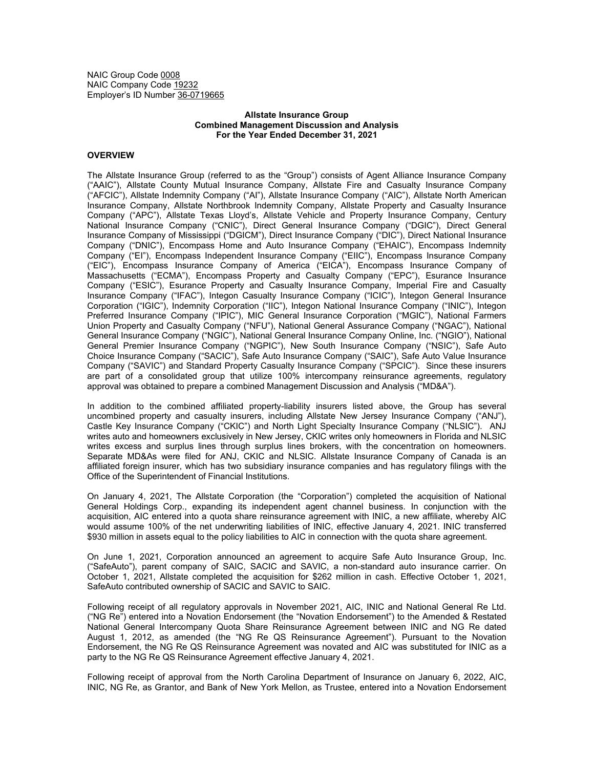NAIC Group Code 0008 NAIC Company Code 19232 Employer's ID Number 36-0719665

## **Allstate Insurance Group Combined Management Discussion and Analysis For the Year Ended December 31, 2021**

# **OVERVIEW**

The Allstate Insurance Group (referred to as the "Group") consists of Agent Alliance Insurance Company ("AAIC"), Allstate County Mutual Insurance Company, Allstate Fire and Casualty Insurance Company ("AFCIC"), Allstate Indemnity Company ("AI"), Allstate Insurance Company ("AIC"), Allstate North American Insurance Company, Allstate Northbrook Indemnity Company, Allstate Property and Casualty Insurance Company ("APC"), Allstate Texas Lloyd's, Allstate Vehicle and Property Insurance Company, Century National Insurance Company ("CNIC"), Direct General Insurance Company ("DGIC"), Direct General Insurance Company of Mississippi ("DGICM"), Direct Insurance Company ("DIC"), Direct National Insurance Company ("DNIC"), Encompass Home and Auto Insurance Company ("EHAIC"), Encompass Indemnity Company ("EI"), Encompass Independent Insurance Company ("EIIC"), Encompass Insurance Company ("EIC"), Encompass Insurance Company of America ("EICA"), Encompass Insurance Company of Massachusetts ("ECMA"), Encompass Property and Casualty Company ("EPC"), Esurance Insurance Company ("ESIC"), Esurance Property and Casualty Insurance Company, Imperial Fire and Casualty Insurance Company ("IFAC"), Integon Casualty Insurance Company ("ICIC"), Integon General Insurance Corporation ("IGIC"), Indemnity Corporation ("IIC"), Integon National Insurance Company ("INIC"), Integon Preferred Insurance Company ("IPIC"), MIC General Insurance Corporation ("MGIC"), National Farmers Union Property and Casualty Company ("NFU"), National General Assurance Company ("NGAC"), National General Insurance Company ("NGIC"), National General Insurance Company Online, Inc. ("NGIO"), National General Premier Insurance Company ("NGPIC"), New South Insurance Company ("NSIC"), Safe Auto Choice Insurance Company ("SACIC"), Safe Auto Insurance Company ("SAIC"), Safe Auto Value Insurance Company ("SAVIC") and Standard Property Casualty Insurance Company ("SPCIC"). Since these insurers are part of a consolidated group that utilize 100% intercompany reinsurance agreements, regulatory approval was obtained to prepare a combined Management Discussion and Analysis ("MD&A").

In addition to the combined affiliated property-liability insurers listed above, the Group has several uncombined property and casualty insurers, including Allstate New Jersey Insurance Company ("ANJ"), Castle Key Insurance Company ("CKIC") and North Light Specialty Insurance Company ("NLSIC"). ANJ writes auto and homeowners exclusively in New Jersey, CKIC writes only homeowners in Florida and NLSIC writes excess and surplus lines through surplus lines brokers, with the concentration on homeowners. Separate MD&As were filed for ANJ, CKIC and NLSIC. Allstate Insurance Company of Canada is an affiliated foreign insurer, which has two subsidiary insurance companies and has regulatory filings with the Office of the Superintendent of Financial Institutions.

On January 4, 2021, The Allstate Corporation (the "Corporation") completed the acquisition of National General Holdings Corp., expanding its independent agent channel business. In conjunction with the acquisition, AIC entered into a quota share reinsurance agreement with INIC, a new affiliate, whereby AIC would assume 100% of the net underwriting liabilities of INIC, effective January 4, 2021. INIC transferred \$930 million in assets equal to the policy liabilities to AIC in connection with the quota share agreement.

On June 1, 2021, Corporation announced an agreement to acquire Safe Auto Insurance Group, Inc. ("SafeAuto"), parent company of SAIC, SACIC and SAVIC, a non-standard auto insurance carrier. On October 1, 2021, Allstate completed the acquisition for \$262 million in cash. Effective October 1, 2021, SafeAuto contributed ownership of SACIC and SAVIC to SAIC.

Following receipt of all regulatory approvals in November 2021, AIC, INIC and National General Re Ltd. ("NG Re") entered into a Novation Endorsement (the "Novation Endorsement") to the Amended & Restated National General Intercompany Quota Share Reinsurance Agreement between INIC and NG Re dated August 1, 2012, as amended (the "NG Re QS Reinsurance Agreement"). Pursuant to the Novation Endorsement, the NG Re QS Reinsurance Agreement was novated and AIC was substituted for INIC as a party to the NG Re QS Reinsurance Agreement effective January 4, 2021.

Following receipt of approval from the North Carolina Department of Insurance on January 6, 2022, AIC, INIC, NG Re, as Grantor, and Bank of New York Mellon, as Trustee, entered into a Novation Endorsement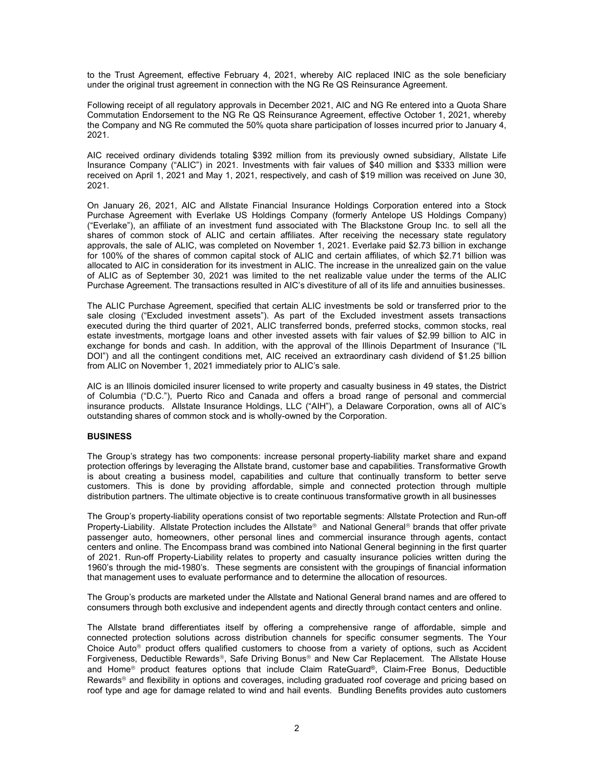to the Trust Agreement, effective February 4, 2021, whereby AIC replaced INIC as the sole beneficiary under the original trust agreement in connection with the NG Re QS Reinsurance Agreement.

Following receipt of all regulatory approvals in December 2021, AIC and NG Re entered into a Quota Share Commutation Endorsement to the NG Re QS Reinsurance Agreement, effective October 1, 2021, whereby the Company and NG Re commuted the 50% quota share participation of losses incurred prior to January 4, 2021.

AIC received ordinary dividends totaling \$392 million from its previously owned subsidiary, Allstate Life Insurance Company ("ALIC") in 2021. Investments with fair values of \$40 million and \$333 million were received on April 1, 2021 and May 1, 2021, respectively, and cash of \$19 million was received on June 30, 2021.

On January 26, 2021, AIC and Allstate Financial Insurance Holdings Corporation entered into a Stock Purchase Agreement with Everlake US Holdings Company (formerly Antelope US Holdings Company) ("Everlake"), an affiliate of an investment fund associated with The Blackstone Group Inc. to sell all the shares of common stock of ALIC and certain affiliates. After receiving the necessary state regulatory approvals, the sale of ALIC, was completed on November 1, 2021. Everlake paid \$2.73 billion in exchange for 100% of the shares of common capital stock of ALIC and certain affiliates, of which \$2.71 billion was allocated to AIC in consideration for its investment in ALIC. The increase in the unrealized gain on the value of ALIC as of September 30, 2021 was limited to the net realizable value under the terms of the ALIC Purchase Agreement. The transactions resulted in AIC's divestiture of all of its life and annuities businesses.

The ALIC Purchase Agreement, specified that certain ALIC investments be sold or transferred prior to the sale closing ("Excluded investment assets"). As part of the Excluded investment assets transactions executed during the third quarter of 2021, ALIC transferred bonds, preferred stocks, common stocks, real estate investments, mortgage loans and other invested assets with fair values of \$2.99 billion to AIC in exchange for bonds and cash. In addition, with the approval of the Illinois Department of Insurance ("IL DOI") and all the contingent conditions met, AIC received an extraordinary cash dividend of \$1.25 billion from ALIC on November 1, 2021 immediately prior to ALIC's sale.

AIC is an Illinois domiciled insurer licensed to write property and casualty business in 49 states, the District of Columbia ("D.C."), Puerto Rico and Canada and offers a broad range of personal and commercial insurance products. Allstate Insurance Holdings, LLC ("AIH"), a Delaware Corporation, owns all of AIC's outstanding shares of common stock and is wholly-owned by the Corporation.

# **BUSINESS**

The Group's strategy has two components: increase personal property-liability market share and expand protection offerings by leveraging the Allstate brand, customer base and capabilities. Transformative Growth is about creating a business model, capabilities and culture that continually transform to better serve customers. This is done by providing affordable, simple and connected protection through multiple distribution partners. The ultimate objective is to create continuous transformative growth in all businesses

The Group's property-liability operations consist of two reportable segments: Allstate Protection and Run-off Property-Liability. Allstate Protection includes the Allstate® and National General® brands that offer private passenger auto, homeowners, other personal lines and commercial insurance through agents, contact centers and online. The Encompass brand was combined into National General beginning in the first quarter of 2021. Run-off Property-Liability relates to property and casualty insurance policies written during the 1960's through the mid-1980's. These segments are consistent with the groupings of financial information that management uses to evaluate performance and to determine the allocation of resources.

The Group's products are marketed under the Allstate and National General brand names and are offered to consumers through both exclusive and independent agents and directly through contact centers and online.

The Allstate brand differentiates itself by offering a comprehensive range of affordable, simple and connected protection solutions across distribution channels for specific consumer segments. The Your Choice Auto<sup>®</sup> product offers qualified customers to choose from a variety of options, such as Accident Forgiveness, Deductible Rewards®, Safe Driving Bonus® and New Car Replacement. The Allstate House and Home® product features options that include Claim RateGuard®, Claim-Free Bonus, Deductible Rewards<sup>®</sup> and flexibility in options and coverages, including graduated roof coverage and pricing based on roof type and age for damage related to wind and hail events. Bundling Benefits provides auto customers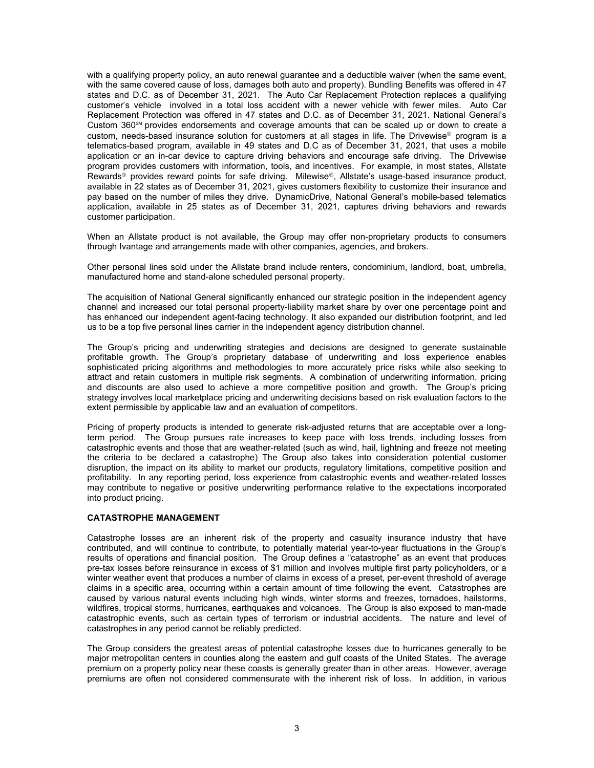with a qualifying property policy, an auto renewal guarantee and a deductible waiver (when the same event, with the same covered cause of loss, damages both auto and property). Bundling Benefits was offered in 47 states and D.C. as of December 31, 2021. The Auto Car Replacement Protection replaces a qualifying customer's vehicle involved in a total loss accident with a newer vehicle with fewer miles. Auto Car Replacement Protection was offered in 47 states and D.C. as of December 31, 2021. National General's Custom  $360<sup>sm</sup>$  provides endorsements and coverage amounts that can be scaled up or down to create a custom, needs-based insurance solution for customers at all stages in life. The Drivewise® program is a telematics-based program, available in 49 states and D.C as of December 31, 2021, that uses a mobile application or an in-car device to capture driving behaviors and encourage safe driving. The Drivewise program provides customers with information, tools, and incentives. For example, in most states, Allstate Rewards<sup>®</sup> provides reward points for safe driving. Milewise®, Allstate's usage-based insurance product, available in 22 states as of December 31, 2021, gives customers flexibility to customize their insurance and pay based on the number of miles they drive. DynamicDrive, National General's mobile-based telematics application, available in 25 states as of December 31, 2021, captures driving behaviors and rewards customer participation.

When an Allstate product is not available, the Group may offer non-proprietary products to consumers through Ivantage and arrangements made with other companies, agencies, and brokers.

Other personal lines sold under the Allstate brand include renters, condominium, landlord, boat, umbrella, manufactured home and stand-alone scheduled personal property.

The acquisition of National General significantly enhanced our strategic position in the independent agency channel and increased our total personal property-liability market share by over one percentage point and has enhanced our independent agent-facing technology. It also expanded our distribution footprint, and led us to be a top five personal lines carrier in the independent agency distribution channel.

The Group's pricing and underwriting strategies and decisions are designed to generate sustainable profitable growth. The Group's proprietary database of underwriting and loss experience enables sophisticated pricing algorithms and methodologies to more accurately price risks while also seeking to attract and retain customers in multiple risk segments. A combination of underwriting information, pricing and discounts are also used to achieve a more competitive position and growth. The Group's pricing strategy involves local marketplace pricing and underwriting decisions based on risk evaluation factors to the extent permissible by applicable law and an evaluation of competitors.

Pricing of property products is intended to generate risk-adjusted returns that are acceptable over a longterm period. The Group pursues rate increases to keep pace with loss trends, including losses from catastrophic events and those that are weather-related (such as wind, hail, lightning and freeze not meeting the criteria to be declared a catastrophe) The Group also takes into consideration potential customer disruption, the impact on its ability to market our products, regulatory limitations, competitive position and profitability. In any reporting period, loss experience from catastrophic events and weather-related losses may contribute to negative or positive underwriting performance relative to the expectations incorporated into product pricing.

## **CATASTROPHE MANAGEMENT**

Catastrophe losses are an inherent risk of the property and casualty insurance industry that have contributed, and will continue to contribute, to potentially material year-to-year fluctuations in the Group's results of operations and financial position. The Group defines a "catastrophe" as an event that produces pre-tax losses before reinsurance in excess of \$1 million and involves multiple first party policyholders, or a winter weather event that produces a number of claims in excess of a preset, per-event threshold of average claims in a specific area, occurring within a certain amount of time following the event. Catastrophes are caused by various natural events including high winds, winter storms and freezes, tornadoes, hailstorms, wildfires, tropical storms, hurricanes, earthquakes and volcanoes. The Group is also exposed to man-made catastrophic events, such as certain types of terrorism or industrial accidents. The nature and level of catastrophes in any period cannot be reliably predicted.

The Group considers the greatest areas of potential catastrophe losses due to hurricanes generally to be major metropolitan centers in counties along the eastern and gulf coasts of the United States. The average premium on a property policy near these coasts is generally greater than in other areas. However, average premiums are often not considered commensurate with the inherent risk of loss. In addition, in various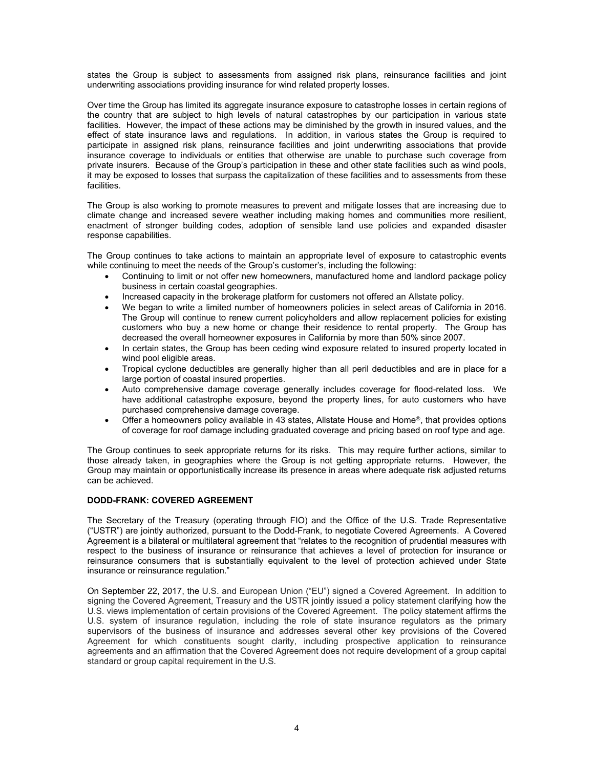states the Group is subject to assessments from assigned risk plans, reinsurance facilities and joint underwriting associations providing insurance for wind related property losses.

Over time the Group has limited its aggregate insurance exposure to catastrophe losses in certain regions of the country that are subject to high levels of natural catastrophes by our participation in various state facilities. However, the impact of these actions may be diminished by the growth in insured values, and the effect of state insurance laws and regulations. In addition, in various states the Group is required to participate in assigned risk plans, reinsurance facilities and joint underwriting associations that provide insurance coverage to individuals or entities that otherwise are unable to purchase such coverage from private insurers. Because of the Group's participation in these and other state facilities such as wind pools, it may be exposed to losses that surpass the capitalization of these facilities and to assessments from these facilities.

The Group is also working to promote measures to prevent and mitigate losses that are increasing due to climate change and increased severe weather including making homes and communities more resilient, enactment of stronger building codes, adoption of sensible land use policies and expanded disaster response capabilities.

The Group continues to take actions to maintain an appropriate level of exposure to catastrophic events while continuing to meet the needs of the Group's customer's, including the following:

- Continuing to limit or not offer new homeowners, manufactured home and landlord package policy business in certain coastal geographies.
- Increased capacity in the brokerage platform for customers not offered an Allstate policy.
- We began to write a limited number of homeowners policies in select areas of California in 2016. The Group will continue to renew current policyholders and allow replacement policies for existing customers who buy a new home or change their residence to rental property. The Group has decreased the overall homeowner exposures in California by more than 50% since 2007.
- In certain states, the Group has been ceding wind exposure related to insured property located in wind pool eligible areas.
- Tropical cyclone deductibles are generally higher than all peril deductibles and are in place for a large portion of coastal insured properties.
- Auto comprehensive damage coverage generally includes coverage for flood-related loss. We have additional catastrophe exposure, beyond the property lines, for auto customers who have purchased comprehensive damage coverage.
- Offer a homeowners policy available in 43 states, Allstate House and Home®, that provides options of coverage for roof damage including graduated coverage and pricing based on roof type and age.

The Group continues to seek appropriate returns for its risks. This may require further actions, similar to those already taken, in geographies where the Group is not getting appropriate returns. However, the Group may maintain or opportunistically increase its presence in areas where adequate risk adjusted returns can be achieved.

# **DODD-FRANK: COVERED AGREEMENT**

The Secretary of the Treasury (operating through FIO) and the Office of the U.S. Trade Representative ("USTR") are jointly authorized, pursuant to the Dodd-Frank, to negotiate Covered Agreements. A Covered Agreement is a bilateral or multilateral agreement that "relates to the recognition of prudential measures with respect to the business of insurance or reinsurance that achieves a level of protection for insurance or reinsurance consumers that is substantially equivalent to the level of protection achieved under State insurance or reinsurance regulation."

On September 22, 2017, the U.S. and European Union ("EU") signed a Covered Agreement. In addition to signing the Covered Agreement, Treasury and the USTR jointly issued a policy statement clarifying how the U.S. views implementation of certain provisions of the Covered Agreement. The policy statement affirms the U.S. system of insurance regulation, including the role of state insurance regulators as the primary supervisors of the business of insurance and addresses several other key provisions of the Covered Agreement for which constituents sought clarity, including prospective application to reinsurance agreements and an affirmation that the Covered Agreement does not require development of a group capital standard or group capital requirement in the U.S.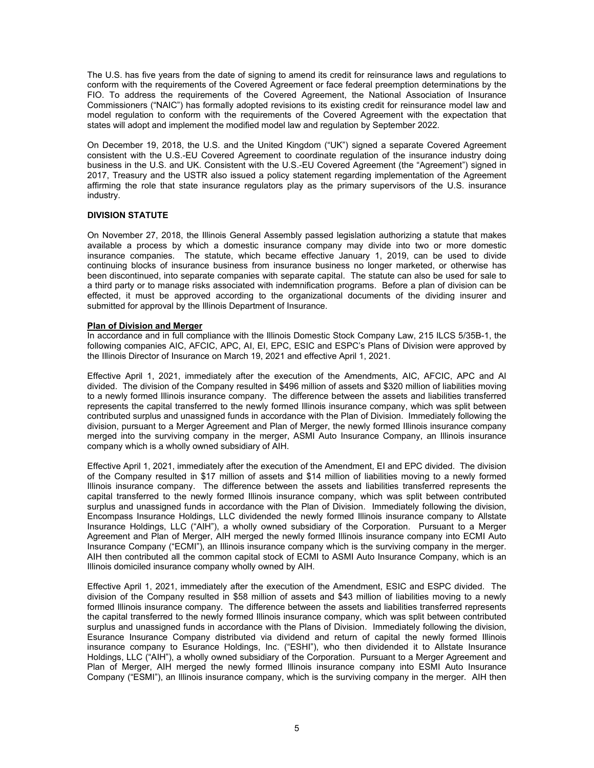The U.S. has five years from the date of signing to amend its credit for reinsurance laws and regulations to conform with the requirements of the Covered Agreement or face federal preemption determinations by the FIO. To address the requirements of the Covered Agreement, the National Association of Insurance Commissioners ("NAIC") has formally adopted revisions to its existing credit for reinsurance model law and model regulation to conform with the requirements of the Covered Agreement with the expectation that states will adopt and implement the modified model law and regulation by September 2022.

On December 19, 2018, the U.S. and the United Kingdom ("UK") signed a separate Covered Agreement consistent with the U.S.-EU Covered Agreement to coordinate regulation of the insurance industry doing business in the U.S. and UK. Consistent with the U.S.-EU Covered Agreement (the "Agreement") signed in 2017, Treasury and the USTR also issued a policy statement regarding implementation of the Agreement affirming the role that state insurance regulators play as the primary supervisors of the U.S. insurance industry.

# **DIVISION STATUTE**

On November 27, 2018, the Illinois General Assembly passed legislation authorizing a statute that makes available a process by which a domestic insurance company may divide into two or more domestic insurance companies. The statute, which became effective January 1, 2019, can be used to divide continuing blocks of insurance business from insurance business no longer marketed, or otherwise has been discontinued, into separate companies with separate capital. The statute can also be used for sale to a third party or to manage risks associated with indemnification programs. Before a plan of division can be effected, it must be approved according to the organizational documents of the dividing insurer and submitted for approval by the Illinois Department of Insurance.

# **Plan of Division and Merger**

In accordance and in full compliance with the Illinois Domestic Stock Company Law, 215 ILCS 5/35B-1, the following companies AIC, AFCIC, APC, AI, EI, EPC, ESIC and ESPC's Plans of Division were approved by the Illinois Director of Insurance on March 19, 2021 and effective April 1, 2021.

Effective April 1, 2021, immediately after the execution of the Amendments, AIC, AFCIC, APC and AI divided. The division of the Company resulted in \$496 million of assets and \$320 million of liabilities moving to a newly formed Illinois insurance company. The difference between the assets and liabilities transferred represents the capital transferred to the newly formed Illinois insurance company, which was split between contributed surplus and unassigned funds in accordance with the Plan of Division. Immediately following the division, pursuant to a Merger Agreement and Plan of Merger, the newly formed Illinois insurance company merged into the surviving company in the merger, ASMI Auto Insurance Company, an Illinois insurance company which is a wholly owned subsidiary of AIH.

Effective April 1, 2021, immediately after the execution of the Amendment, EI and EPC divided. The division of the Company resulted in \$17 million of assets and \$14 million of liabilities moving to a newly formed Illinois insurance company. The difference between the assets and liabilities transferred represents the capital transferred to the newly formed Illinois insurance company, which was split between contributed surplus and unassigned funds in accordance with the Plan of Division. Immediately following the division, Encompass Insurance Holdings, LLC dividended the newly formed Illinois insurance company to Allstate Insurance Holdings, LLC ("AIH"), a wholly owned subsidiary of the Corporation. Pursuant to a Merger Agreement and Plan of Merger, AIH merged the newly formed Illinois insurance company into ECMI Auto Insurance Company ("ECMI"), an Illinois insurance company which is the surviving company in the merger. AIH then contributed all the common capital stock of ECMI to ASMI Auto Insurance Company, which is an Illinois domiciled insurance company wholly owned by AIH.

Effective April 1, 2021, immediately after the execution of the Amendment, ESIC and ESPC divided. The division of the Company resulted in \$58 million of assets and \$43 million of liabilities moving to a newly formed Illinois insurance company. The difference between the assets and liabilities transferred represents the capital transferred to the newly formed Illinois insurance company, which was split between contributed surplus and unassigned funds in accordance with the Plans of Division. Immediately following the division, Esurance Insurance Company distributed via dividend and return of capital the newly formed Illinois insurance company to Esurance Holdings, Inc. ("ESHI"), who then dividended it to Allstate Insurance Holdings, LLC ("AIH"), a wholly owned subsidiary of the Corporation. Pursuant to a Merger Agreement and Plan of Merger, AIH merged the newly formed Illinois insurance company into ESMI Auto Insurance Company ("ESMI"), an Illinois insurance company, which is the surviving company in the merger. AIH then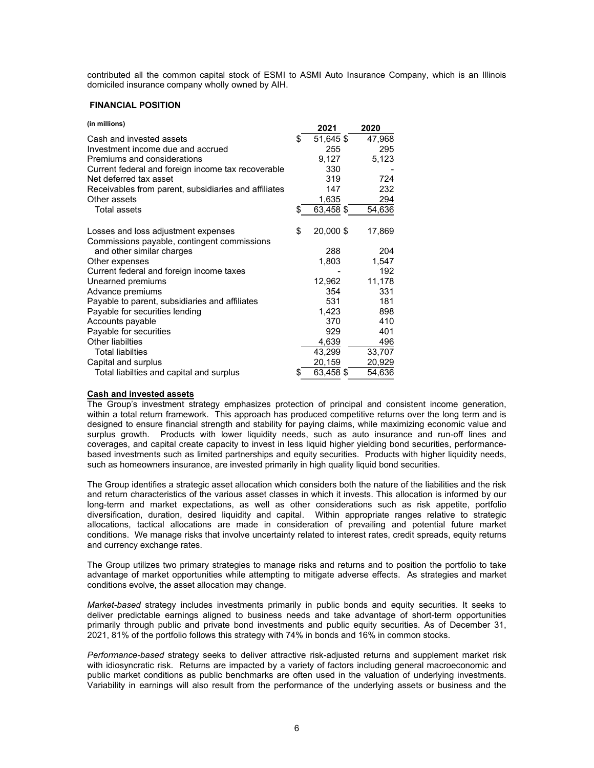contributed all the common capital stock of ESMI to ASMI Auto Insurance Company, which is an Illinois domiciled insurance company wholly owned by AIH.

### **FINANCIAL POSITION**

| (in millions)                                        | 2021            | 2020   |
|------------------------------------------------------|-----------------|--------|
| Cash and invested assets                             | \$<br>51,645 \$ | 47,968 |
| Investment income due and accrued                    | 255             | 295    |
| Premiums and considerations                          | 9,127           | 5,123  |
| Current federal and foreign income tax recoverable   | 330             |        |
| Net deferred tax asset                               | 319             | 724    |
| Receivables from parent, subsidiaries and affiliates | 147             | 232    |
| Other assets                                         | 1,635           | 294    |
| <b>Total assets</b>                                  | 63,458 \$       | 54,636 |
| Losses and loss adjustment expenses                  | \$<br>20,000 \$ | 17,869 |
| Commissions payable, contingent commissions          |                 |        |
| and other similar charges                            | 288             | 204    |
| Other expenses                                       | 1,803           | 1,547  |
| Current federal and foreign income taxes             |                 | 192    |
| Unearned premiums                                    | 12,962          | 11,178 |
| Advance premiums                                     | 354             | 331    |
| Payable to parent, subsidiaries and affiliates       | 531             | 181    |
| Payable for securities lending                       | 1,423           | 898    |
| Accounts payable                                     | 370             | 410    |
| Payable for securities                               | 929             | 401    |
| <b>Other liabilties</b>                              | 4,639           | 496    |
| <b>Total liabilties</b>                              | 43,299          | 33,707 |
| Capital and surplus                                  | 20,159          | 20,929 |
| Total liabilties and capital and surplus             | \$<br>63,458 \$ | 54,636 |

#### **Cash and invested assets**

The Group's investment strategy emphasizes protection of principal and consistent income generation, within a total return framework. This approach has produced competitive returns over the long term and is designed to ensure financial strength and stability for paying claims, while maximizing economic value and surplus growth. Products with lower liquidity needs, such as auto insurance and run-off lines and coverages, and capital create capacity to invest in less liquid higher yielding bond securities, performancebased investments such as limited partnerships and equity securities. Products with higher liquidity needs, such as homeowners insurance, are invested primarily in high quality liquid bond securities.

The Group identifies a strategic asset allocation which considers both the nature of the liabilities and the risk and return characteristics of the various asset classes in which it invests. This allocation is informed by our long-term and market expectations, as well as other considerations such as risk appetite, portfolio diversification, duration, desired liquidity and capital. Within appropriate ranges relative to strategic allocations, tactical allocations are made in consideration of prevailing and potential future market conditions. We manage risks that involve uncertainty related to interest rates, credit spreads, equity returns and currency exchange rates.

The Group utilizes two primary strategies to manage risks and returns and to position the portfolio to take advantage of market opportunities while attempting to mitigate adverse effects. As strategies and market conditions evolve, the asset allocation may change.

*Market-based* strategy includes investments primarily in public bonds and equity securities. It seeks to deliver predictable earnings aligned to business needs and take advantage of short-term opportunities primarily through public and private bond investments and public equity securities. As of December 31, 2021, 81% of the portfolio follows this strategy with 74% in bonds and 16% in common stocks.

*Performance-based* strategy seeks to deliver attractive risk-adjusted returns and supplement market risk with idiosyncratic risk. Returns are impacted by a variety of factors including general macroeconomic and public market conditions as public benchmarks are often used in the valuation of underlying investments. Variability in earnings will also result from the performance of the underlying assets or business and the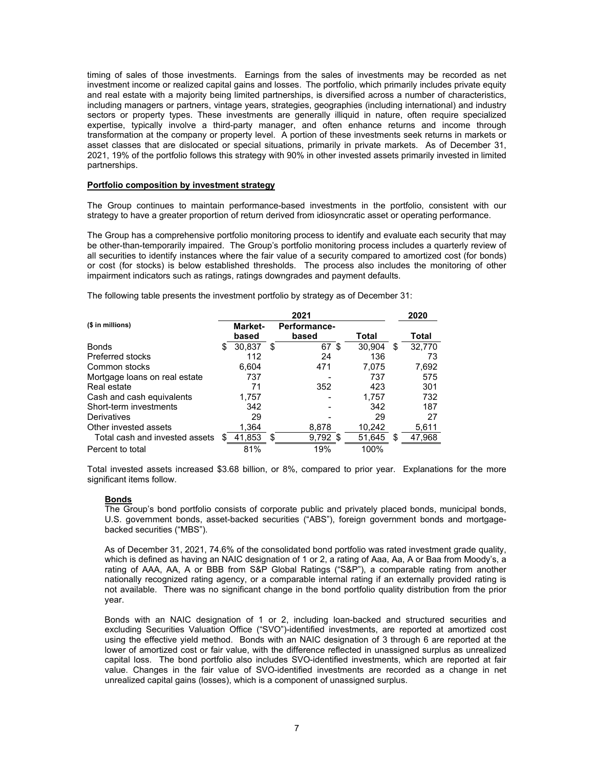timing of sales of those investments. Earnings from the sales of investments may be recorded as net investment income or realized capital gains and losses. The portfolio, which primarily includes private equity and real estate with a majority being limited partnerships, is diversified across a number of characteristics, including managers or partners, vintage years, strategies, geographies (including international) and industry sectors or property types. These investments are generally illiquid in nature, often require specialized expertise, typically involve a third-party manager, and often enhance returns and income through transformation at the company or property level. A portion of these investments seek returns in markets or asset classes that are dislocated or special situations, primarily in private markets. As of December 31, 2021, 19% of the portfolio follows this strategy with 90% in other invested assets primarily invested in limited partnerships.

### **Portfolio composition by investment strategy**

The Group continues to maintain performance-based investments in the portfolio, consistent with our strategy to have a greater proportion of return derived from idiosyncratic asset or operating performance.

The Group has a comprehensive portfolio monitoring process to identify and evaluate each security that may be other-than-temporarily impaired. The Group's portfolio monitoring process includes a quarterly review of all securities to identify instances where the fair value of a security compared to amortized cost (for bonds) or cost (for stocks) is below established thresholds. The process also includes the monitoring of other impairment indicators such as ratings, ratings downgrades and payment defaults.

The following table presents the investment portfolio by strategy as of December 31:

|                                |    |         |   | 2021         |              |   | 2020   |
|--------------------------------|----|---------|---|--------------|--------------|---|--------|
| (\$ in millions)               |    | Market- |   | Performance- |              |   |        |
|                                |    | based   |   | based        | Total        |   | Total  |
| <b>Bonds</b>                   | S. | 30,837  | S | 67           | \$<br>30.904 | S | 32,770 |
| Preferred stocks               |    | 112     |   | 24           | 136          |   | 73     |
| Common stocks                  |    | 6.604   |   | 471          | 7,075        |   | 7,692  |
| Mortgage loans on real estate  |    | 737     |   |              | 737          |   | 575    |
| Real estate                    |    | 71      |   | 352          | 423          |   | 301    |
| Cash and cash equivalents      |    | 1,757   |   |              | 1.757        |   | 732    |
| Short-term investments         |    | 342     |   |              | 342          |   | 187    |
| Derivatives                    |    | 29      |   |              | 29           |   | 27     |
| Other invested assets          |    | 1,364   |   | 8,878        | 10,242       |   | 5,611  |
| Total cash and invested assets |    | 41,853  | S | $9,792$ \$   | 51,645       | S | 47,968 |
| Percent to total               |    | 81%     |   | 19%          | 100%         |   |        |

Total invested assets increased \$3.68 billion, or 8%, compared to prior year. Explanations for the more significant items follow.

# **Bonds**

The Group's bond portfolio consists of corporate public and privately placed bonds, municipal bonds, U.S. government bonds, asset-backed securities ("ABS"), foreign government bonds and mortgagebacked securities ("MBS").

As of December 31, 2021, 74.6% of the consolidated bond portfolio was rated investment grade quality, which is defined as having an NAIC designation of 1 or 2, a rating of Aaa, Aa, A or Baa from Moody's, a rating of AAA, AA, A or BBB from S&P Global Ratings ("S&P"), a comparable rating from another nationally recognized rating agency, or a comparable internal rating if an externally provided rating is not available. There was no significant change in the bond portfolio quality distribution from the prior year.

Bonds with an NAIC designation of 1 or 2, including loan-backed and structured securities and excluding Securities Valuation Office ("SVO")-identified investments, are reported at amortized cost using the effective yield method. Bonds with an NAIC designation of 3 through 6 are reported at the lower of amortized cost or fair value, with the difference reflected in unassigned surplus as unrealized capital loss. The bond portfolio also includes SVO-identified investments, which are reported at fair value. Changes in the fair value of SVO-identified investments are recorded as a change in net unrealized capital gains (losses), which is a component of unassigned surplus.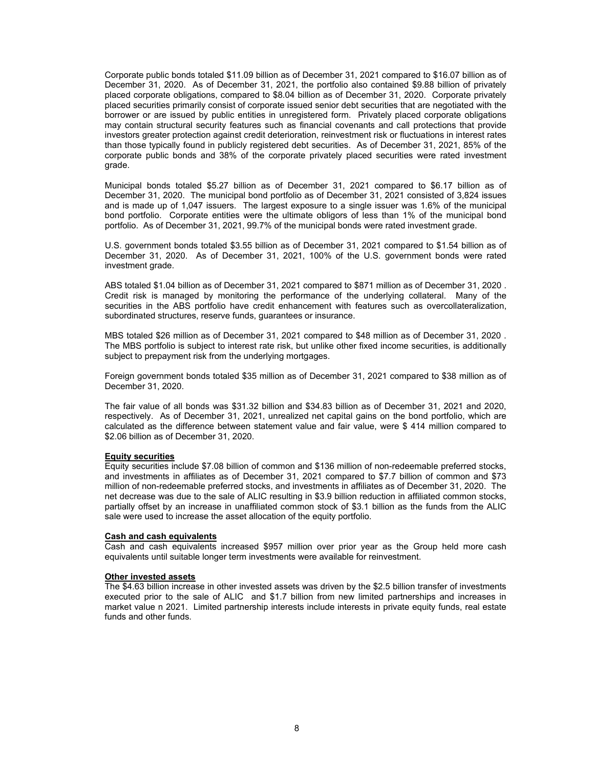Corporate public bonds totaled \$11.09 billion as of December 31, 2021 compared to \$16.07 billion as of December 31, 2020. As of December 31, 2021, the portfolio also contained \$9.88 billion of privately placed corporate obligations, compared to \$8.04 billion as of December 31, 2020. Corporate privately placed securities primarily consist of corporate issued senior debt securities that are negotiated with the borrower or are issued by public entities in unregistered form. Privately placed corporate obligations may contain structural security features such as financial covenants and call protections that provide investors greater protection against credit deterioration, reinvestment risk or fluctuations in interest rates than those typically found in publicly registered debt securities. As of December 31, 2021, 85% of the corporate public bonds and 38% of the corporate privately placed securities were rated investment grade.

Municipal bonds totaled \$5.27 billion as of December 31, 2021 compared to \$6.17 billion as of December 31, 2020. The municipal bond portfolio as of December 31, 2021 consisted of 3,824 issues and is made up of 1,047 issuers. The largest exposure to a single issuer was 1.6% of the municipal bond portfolio. Corporate entities were the ultimate obligors of less than 1% of the municipal bond portfolio. As of December 31, 2021, 99.7% of the municipal bonds were rated investment grade.

U.S. government bonds totaled \$3.55 billion as of December 31, 2021 compared to \$1.54 billion as of December 31, 2020. As of December 31, 2021, 100% of the U.S. government bonds were rated investment grade.

ABS totaled \$1.04 billion as of December 31, 2021 compared to \$871 million as of December 31, 2020 . Credit risk is managed by monitoring the performance of the underlying collateral. Many of the securities in the ABS portfolio have credit enhancement with features such as overcollateralization, subordinated structures, reserve funds, guarantees or insurance.

MBS totaled \$26 million as of December 31, 2021 compared to \$48 million as of December 31, 2020 . The MBS portfolio is subject to interest rate risk, but unlike other fixed income securities, is additionally subject to prepayment risk from the underlying mortgages.

Foreign government bonds totaled \$35 million as of December 31, 2021 compared to \$38 million as of December 31, 2020.

The fair value of all bonds was \$31.32 billion and \$34.83 billion as of December 31, 2021 and 2020, respectively. As of December 31, 2021, unrealized net capital gains on the bond portfolio, which are calculated as the difference between statement value and fair value, were \$ 414 million compared to \$2.06 billion as of December 31, 2020.

### **Equity securities**

Equity securities include \$7.08 billion of common and \$136 million of non-redeemable preferred stocks, and investments in affiliates as of December 31, 2021 compared to \$7.7 billion of common and \$73 million of non-redeemable preferred stocks, and investments in affiliates as of December 31, 2020. The net decrease was due to the sale of ALIC resulting in \$3.9 billion reduction in affiliated common stocks, partially offset by an increase in unaffiliated common stock of \$3.1 billion as the funds from the ALIC sale were used to increase the asset allocation of the equity portfolio.

#### **Cash and cash equivalents**

Cash and cash equivalents increased \$957 million over prior year as the Group held more cash equivalents until suitable longer term investments were available for reinvestment.

## **Other invested assets**

The \$4.63 billion increase in other invested assets was driven by the \$2.5 billion transfer of investments executed prior to the sale of ALIC and \$1.7 billion from new limited partnerships and increases in market value n 2021. Limited partnership interests include interests in private equity funds, real estate funds and other funds.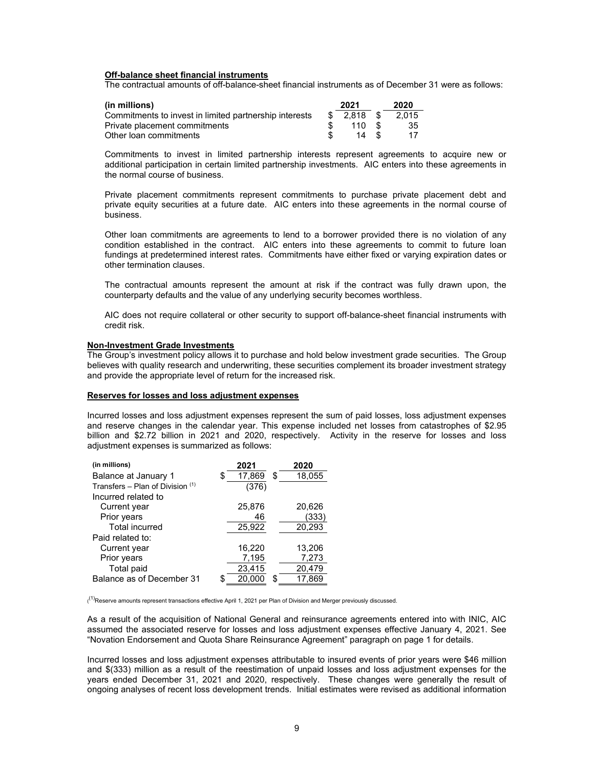### **Off-balance sheet financial instruments**

The contractual amounts of off-balance-sheet financial instruments as of December 31 were as follows:

| (in millions)                                          | 2021        | 2020  |
|--------------------------------------------------------|-------------|-------|
| Commitments to invest in limited partnership interests | $$2.818$ \$ | 2.015 |
| Private placement commitments                          | 110S        | -35   |
| Other loan commitments                                 |             |       |

Commitments to invest in limited partnership interests represent agreements to acquire new or additional participation in certain limited partnership investments. AIC enters into these agreements in the normal course of business.

Private placement commitments represent commitments to purchase private placement debt and private equity securities at a future date. AIC enters into these agreements in the normal course of business.

Other loan commitments are agreements to lend to a borrower provided there is no violation of any condition established in the contract. AIC enters into these agreements to commit to future loan fundings at predetermined interest rates. Commitments have either fixed or varying expiration dates or other termination clauses.

The contractual amounts represent the amount at risk if the contract was fully drawn upon, the counterparty defaults and the value of any underlying security becomes worthless.

AIC does not require collateral or other security to support off-balance-sheet financial instruments with credit risk.

#### **Non-Investment Grade Investments**

The Group's investment policy allows it to purchase and hold below investment grade securities. The Group believes with quality research and underwriting, these securities complement its broader investment strategy and provide the appropriate level of return for the increased risk.

## **Reserves for losses and loss adjustment expenses**

Incurred losses and loss adjustment expenses represent the sum of paid losses, loss adjustment expenses and reserve changes in the calendar year. This expense included net losses from catastrophes of \$2.95 billion and \$2.72 billion in 2021 and 2020, respectively. Activity in the reserve for losses and loss adjustment expenses is summarized as follows:

| (in millions)                    |    | 2021   |    | 2020   |
|----------------------------------|----|--------|----|--------|
| Balance at January 1             | S. | 17,869 | \$ | 18,055 |
| Transfers - Plan of Division (1) |    | (376)  |    |        |
| Incurred related to              |    |        |    |        |
| Current year                     |    | 25,876 |    | 20,626 |
| Prior years                      |    | 46     |    | (333)  |
| <b>Total incurred</b>            |    | 25,922 |    | 20,293 |
| Paid related to:                 |    |        |    |        |
| Current year                     |    | 16,220 |    | 13,206 |
| Prior years                      |    | 7,195  |    | 7,273  |
| Total paid                       |    | 23,415 |    | 20,479 |
| Balance as of December 31        |    | 20.000 | S. | 17.869 |

<sup>(1)</sup>Reserve amounts represent transactions effective April 1, 2021 per Plan of Division and Merger previously discussed.

As a result of the acquisition of National General and reinsurance agreements entered into with INIC, AIC assumed the associated reserve for losses and loss adjustment expenses effective January 4, 2021. See "Novation Endorsement and Quota Share Reinsurance Agreement" paragraph on page 1 for details.

Incurred losses and loss adjustment expenses attributable to insured events of prior years were \$46 million and \$(333) million as a result of the reestimation of unpaid losses and loss adjustment expenses for the years ended December 31, 2021 and 2020, respectively. These changes were generally the result of ongoing analyses of recent loss development trends. Initial estimates were revised as additional information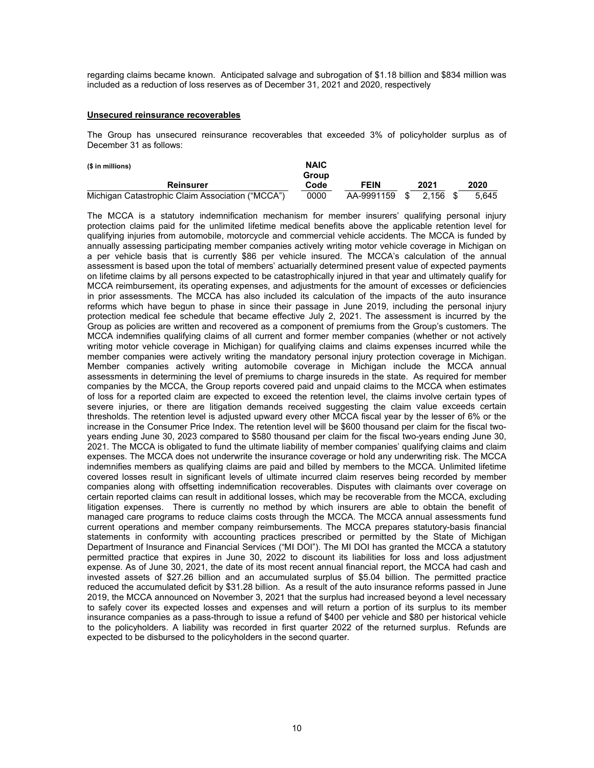regarding claims became known. Anticipated salvage and subrogation of \$1.18 billion and \$834 million was included as a reduction of loss reserves as of December 31, 2021 and 2020, respectively

### **Unsecured reinsurance recoverables**

The Group has unsecured reinsurance recoverables that exceeded 3% of policyholder surplus as of December 31 as follows:

| (\$ in millions)                                 | <b>NAIC</b><br>Group |             |      |            |       |
|--------------------------------------------------|----------------------|-------------|------|------------|-------|
| <b>Reinsurer</b>                                 | Code                 | <b>FEIN</b> |      | 2021       | 2020  |
| Michigan Catastrophic Claim Association ("MCCA") | 0000                 | AA-9991159  | - \$ | $2.156$ \$ | 5.645 |

The MCCA is a statutory indemnification mechanism for member insurers' qualifying personal injury protection claims paid for the unlimited lifetime medical benefits above the applicable retention level for qualifying injuries from automobile, motorcycle and commercial vehicle accidents. The MCCA is funded by annually assessing participating member companies actively writing motor vehicle coverage in Michigan on a per vehicle basis that is currently \$86 per vehicle insured. The MCCA's calculation of the annual assessment is based upon the total of members' actuarially determined present value of expected payments on lifetime claims by all persons expected to be catastrophically injured in that year and ultimately qualify for MCCA reimbursement, its operating expenses, and adjustments for the amount of excesses or deficiencies in prior assessments. The MCCA has also included its calculation of the impacts of the auto insurance reforms which have begun to phase in since their passage in June 2019, including the personal injury protection medical fee schedule that became effective July 2, 2021. The assessment is incurred by the Group as policies are written and recovered as a component of premiums from the Group's customers. The MCCA indemnifies qualifying claims of all current and former member companies (whether or not actively writing motor vehicle coverage in Michigan) for qualifying claims and claims expenses incurred while the member companies were actively writing the mandatory personal injury protection coverage in Michigan. Member companies actively writing automobile coverage in Michigan include the MCCA annual assessments in determining the level of premiums to charge insureds in the state. As required for member companies by the MCCA, the Group reports covered paid and unpaid claims to the MCCA when estimates of loss for a reported claim are expected to exceed the retention level, the claims involve certain types of severe injuries, or there are litigation demands received suggesting the claim value exceeds certain thresholds. The retention level is adjusted upward every other MCCA fiscal year by the lesser of 6% or the increase in the Consumer Price Index. The retention level will be \$600 thousand per claim for the fiscal twoyears ending June 30, 2023 compared to \$580 thousand per claim for the fiscal two-years ending June 30, 2021. The MCCA is obligated to fund the ultimate liability of member companies' qualifying claims and claim expenses. The MCCA does not underwrite the insurance coverage or hold any underwriting risk. The MCCA indemnifies members as qualifying claims are paid and billed by members to the MCCA. Unlimited lifetime covered losses result in significant levels of ultimate incurred claim reserves being recorded by member companies along with offsetting indemnification recoverables. Disputes with claimants over coverage on certain reported claims can result in additional losses, which may be recoverable from the MCCA, excluding litigation expenses. There is currently no method by which insurers are able to obtain the benefit of managed care programs to reduce claims costs through the MCCA. The MCCA annual assessments fund current operations and member company reimbursements. The MCCA prepares statutory-basis financial statements in conformity with accounting practices prescribed or permitted by the State of Michigan Department of Insurance and Financial Services ("MI DOI"). The MI DOI has granted the MCCA a statutory permitted practice that expires in June 30, 2022 to discount its liabilities for loss and loss adjustment expense. As of June 30, 2021, the date of its most recent annual financial report, the MCCA had cash and invested assets of \$27.26 billion and an accumulated surplus of \$5.04 billion. The permitted practice reduced the accumulated deficit by \$31.28 billion. As a result of the auto insurance reforms passed in June 2019, the MCCA announced on November 3, 2021 that the surplus had increased beyond a level necessary to safely cover its expected losses and expenses and will return a portion of its surplus to its member insurance companies as a pass-through to issue a refund of \$400 per vehicle and \$80 per historical vehicle to the policyholders. A liability was recorded in first quarter 2022 of the returned surplus. Refunds are expected to be disbursed to the policyholders in the second quarter.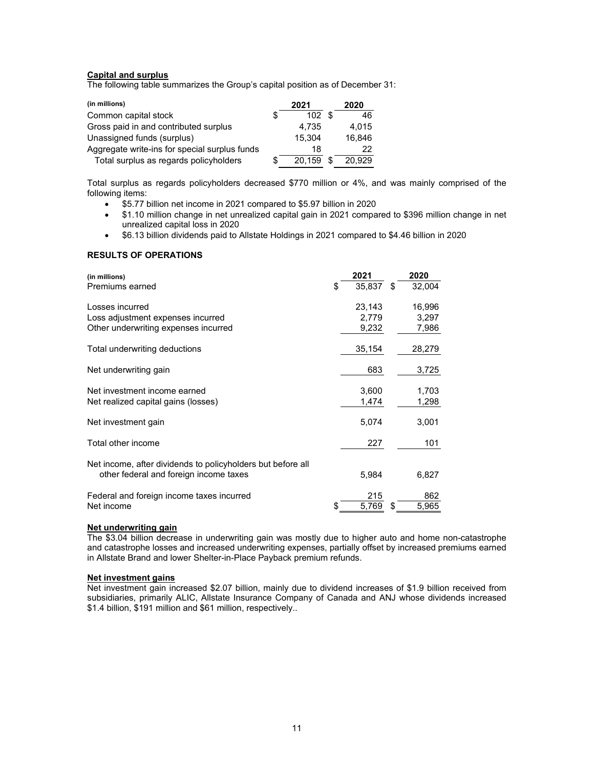# **Capital and surplus**

The following table summarizes the Group's capital position as of December 31:

| (in millions)                                 |    | 2021   | 2020   |
|-----------------------------------------------|----|--------|--------|
| Common capital stock                          | S  | 102S   | 46     |
| Gross paid in and contributed surplus         |    | 4.735  | 4.015  |
| Unassigned funds (surplus)                    |    | 15.304 | 16.846 |
| Aggregate write-ins for special surplus funds |    | 18     | 22     |
| Total surplus as regards policyholders        | S. | 20.159 | 20.929 |

Total surplus as regards policyholders decreased \$770 million or 4%, and was mainly comprised of the following items:

- \$5.77 billion net income in 2021 compared to \$5.97 billion in 2020
- \$1.10 million change in net unrealized capital gain in 2021 compared to \$396 million change in net unrealized capital loss in 2020
- \$6.13 billion dividends paid to Allstate Holdings in 2021 compared to \$4.46 billion in 2020

# **RESULTS OF OPERATIONS**

| (in millions)<br>Premiums earned                                                                      | S | 2021<br>35.837           | \$<br>2020<br>32,004     |
|-------------------------------------------------------------------------------------------------------|---|--------------------------|--------------------------|
| Losses incurred<br>Loss adjustment expenses incurred<br>Other underwriting expenses incurred          |   | 23,143<br>2.779<br>9,232 | 16,996<br>3,297<br>7,986 |
| Total underwriting deductions                                                                         |   | 35,154                   | 28,279                   |
| Net underwriting gain                                                                                 |   | 683                      | 3,725                    |
| Net investment income earned<br>Net realized capital gains (losses)                                   |   | 3,600<br>1,474           | 1,703<br>1,298           |
| Net investment gain                                                                                   |   | 5,074                    | 3,001                    |
| Total other income                                                                                    |   | 227                      | 101                      |
| Net income, after dividends to policyholders but before all<br>other federal and foreign income taxes |   | 5,984                    | 6,827                    |
| Federal and foreign income taxes incurred<br>Net income                                               |   | 215<br>5,769             | \$<br>862<br>5,965       |

# **Net underwriting gain**

The \$3.04 billion decrease in underwriting gain was mostly due to higher auto and home non-catastrophe and catastrophe losses and increased underwriting expenses, partially offset by increased premiums earned in Allstate Brand and lower Shelter-in-Place Payback premium refunds.

#### **Net investment gains**

Net investment gain increased \$2.07 billion, mainly due to dividend increases of \$1.9 billion received from subsidiaries, primarily ALIC, Allstate Insurance Company of Canada and ANJ whose dividends increased \$1.4 billion, \$191 million and \$61 million, respectively..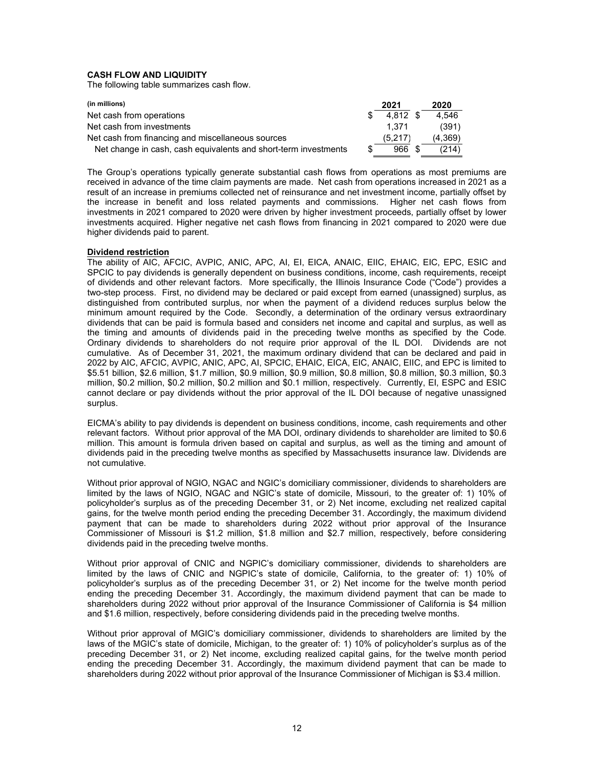# **CASH FLOW AND LIQUIDITY**

The following table summarizes cash flow.

| (in millions)                                                   |     | 2021       | 2020    |
|-----------------------------------------------------------------|-----|------------|---------|
| Net cash from operations                                        |     | $4.812$ \$ | 4.546   |
| Net cash from investments                                       |     | 1.371      | (391)   |
| Net cash from financing and miscellaneous sources               |     | (5,217)    | (4,369) |
| Net change in cash, cash equivalents and short-term investments | \$. | 966 \$     | (214)   |

The Group's operations typically generate substantial cash flows from operations as most premiums are received in advance of the time claim payments are made. Net cash from operations increased in 2021 as a result of an increase in premiums collected net of reinsurance and net investment income, partially offset by the increase in benefit and loss related payments and commissions. Higher net cash flows from investments in 2021 compared to 2020 were driven by higher investment proceeds, partially offset by lower investments acquired. Higher negative net cash flows from financing in 2021 compared to 2020 were due higher dividends paid to parent.

### **Dividend restriction**

The ability of AIC, AFCIC, AVPIC, ANIC, APC, AI, EI, EICA, ANAIC, EIIC, EHAIC, EIC, EPC, ESIC and SPCIC to pay dividends is generally dependent on business conditions, income, cash requirements, receipt of dividends and other relevant factors. More specifically, the Illinois Insurance Code ("Code") provides a two-step process. First, no dividend may be declared or paid except from earned (unassigned) surplus, as distinguished from contributed surplus, nor when the payment of a dividend reduces surplus below the minimum amount required by the Code. Secondly, a determination of the ordinary versus extraordinary dividends that can be paid is formula based and considers net income and capital and surplus, as well as the timing and amounts of dividends paid in the preceding twelve months as specified by the Code. Ordinary dividends to shareholders do not require prior approval of the IL DOI. Dividends are not cumulative. As of December 31, 2021, the maximum ordinary dividend that can be declared and paid in 2022 by AIC, AFCIC, AVPIC, ANIC, APC, AI, SPCIC, EHAIC, EICA, EIC, ANAIC, EIIC, and EPC is limited to \$5.51 billion, \$2.6 million, \$1.7 million, \$0.9 million, \$0.9 million, \$0.8 million, \$0.8 million, \$0.3 million, \$0.3 million, \$0.2 million, \$0.2 million, \$0.2 million and \$0.1 million, respectively. Currently, EI, ESPC and ESIC cannot declare or pay dividends without the prior approval of the IL DOI because of negative unassigned surplus.

EICMA's ability to pay dividends is dependent on business conditions, income, cash requirements and other relevant factors. Without prior approval of the MA DOI, ordinary dividends to shareholder are limited to \$0.6 million. This amount is formula driven based on capital and surplus, as well as the timing and amount of dividends paid in the preceding twelve months as specified by Massachusetts insurance law. Dividends are not cumulative.

Without prior approval of NGIO, NGAC and NGIC's domiciliary commissioner, dividends to shareholders are limited by the laws of NGIO, NGAC and NGIC's state of domicile, Missouri, to the greater of: 1) 10% of policyholder's surplus as of the preceding December 31, or 2) Net income, excluding net realized capital gains, for the twelve month period ending the preceding December 31. Accordingly, the maximum dividend payment that can be made to shareholders during 2022 without prior approval of the Insurance Commissioner of Missouri is \$1.2 million, \$1.8 million and \$2.7 million, respectively, before considering dividends paid in the preceding twelve months.

Without prior approval of CNIC and NGPIC's domiciliary commissioner, dividends to shareholders are limited by the laws of CNIC and NGPIC's state of domicile, California, to the greater of: 1) 10% of policyholder's surplus as of the preceding December 31, or 2) Net income for the twelve month period ending the preceding December 31. Accordingly, the maximum dividend payment that can be made to shareholders during 2022 without prior approval of the Insurance Commissioner of California is \$4 million and \$1.6 million, respectively, before considering dividends paid in the preceding twelve months.

Without prior approval of MGIC's domiciliary commissioner, dividends to shareholders are limited by the laws of the MGIC's state of domicile, Michigan, to the greater of: 1) 10% of policyholder's surplus as of the preceding December 31, or 2) Net income, excluding realized capital gains, for the twelve month period ending the preceding December 31. Accordingly, the maximum dividend payment that can be made to shareholders during 2022 without prior approval of the Insurance Commissioner of Michigan is \$3.4 million.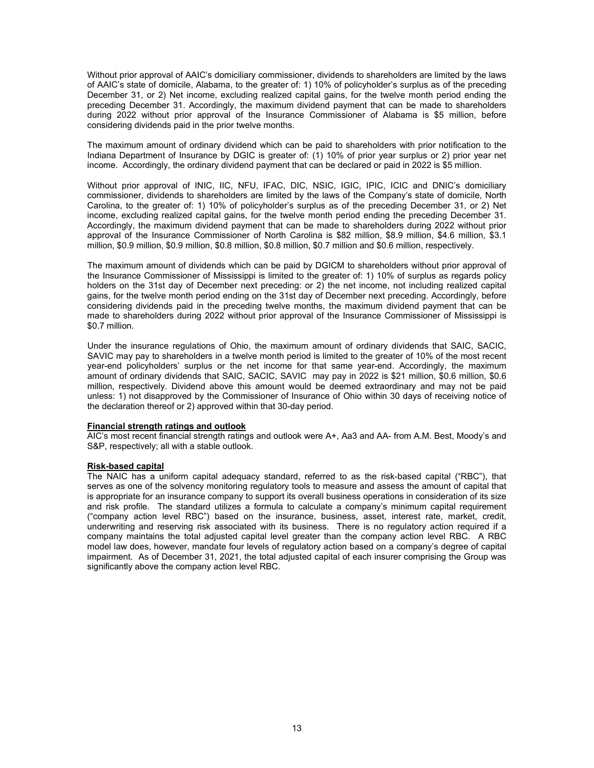Without prior approval of AAIC's domiciliary commissioner, dividends to shareholders are limited by the laws of AAIC's state of domicile, Alabama, to the greater of: 1) 10% of policyholder's surplus as of the preceding December 31, or 2) Net income, excluding realized capital gains, for the twelve month period ending the preceding December 31. Accordingly, the maximum dividend payment that can be made to shareholders during 2022 without prior approval of the Insurance Commissioner of Alabama is \$5 million, before considering dividends paid in the prior twelve months.

The maximum amount of ordinary dividend which can be paid to shareholders with prior notification to the Indiana Department of Insurance by DGIC is greater of: (1) 10% of prior year surplus or 2) prior year net income. Accordingly, the ordinary dividend payment that can be declared or paid in 2022 is \$5 million.

Without prior approval of INIC, IIC, NFU, IFAC, DIC, NSIC, IGIC, IPIC, ICIC and DNIC's domiciliary commissioner, dividends to shareholders are limited by the laws of the Company's state of domicile, North Carolina, to the greater of: 1) 10% of policyholder's surplus as of the preceding December 31, or 2) Net income, excluding realized capital gains, for the twelve month period ending the preceding December 31. Accordingly, the maximum dividend payment that can be made to shareholders during 2022 without prior approval of the Insurance Commissioner of North Carolina is \$82 million, \$8.9 million, \$4.6 million, \$3.1 million, \$0.9 million, \$0.9 million, \$0.8 million, \$0.8 million, \$0.7 million and \$0.6 million, respectively.

The maximum amount of dividends which can be paid by DGICM to shareholders without prior approval of the Insurance Commissioner of Mississippi is limited to the greater of: 1) 10% of surplus as regards policy holders on the 31st day of December next preceding: or 2) the net income, not including realized capital gains, for the twelve month period ending on the 31st day of December next preceding. Accordingly, before considering dividends paid in the preceding twelve months, the maximum dividend payment that can be made to shareholders during 2022 without prior approval of the Insurance Commissioner of Mississippi is \$0.7 million.

Under the insurance regulations of Ohio, the maximum amount of ordinary dividends that SAIC, SACIC, SAVIC may pay to shareholders in a twelve month period is limited to the greater of 10% of the most recent year-end policyholders' surplus or the net income for that same year-end. Accordingly, the maximum amount of ordinary dividends that SAIC, SACIC, SAVIC may pay in 2022 is \$21 million, \$0.6 million, \$0.6 million, respectively. Dividend above this amount would be deemed extraordinary and may not be paid unless: 1) not disapproved by the Commissioner of Insurance of Ohio within 30 days of receiving notice of the declaration thereof or 2) approved within that 30-day period.

# **Financial strength ratings and outlook**

AIC's most recent financial strength ratings and outlook were A+, Aa3 and AA- from A.M. Best, Moody's and S&P, respectively; all with a stable outlook.

# **Risk-based capital**

The NAIC has a uniform capital adequacy standard, referred to as the risk-based capital ("RBC"), that serves as one of the solvency monitoring regulatory tools to measure and assess the amount of capital that is appropriate for an insurance company to support its overall business operations in consideration of its size and risk profile. The standard utilizes a formula to calculate a company's minimum capital requirement ("company action level RBC") based on the insurance, business, asset, interest rate, market, credit, underwriting and reserving risk associated with its business. There is no regulatory action required if a company maintains the total adjusted capital level greater than the company action level RBC. A RBC model law does, however, mandate four levels of regulatory action based on a company's degree of capital impairment. As of December 31, 2021, the total adjusted capital of each insurer comprising the Group was significantly above the company action level RBC.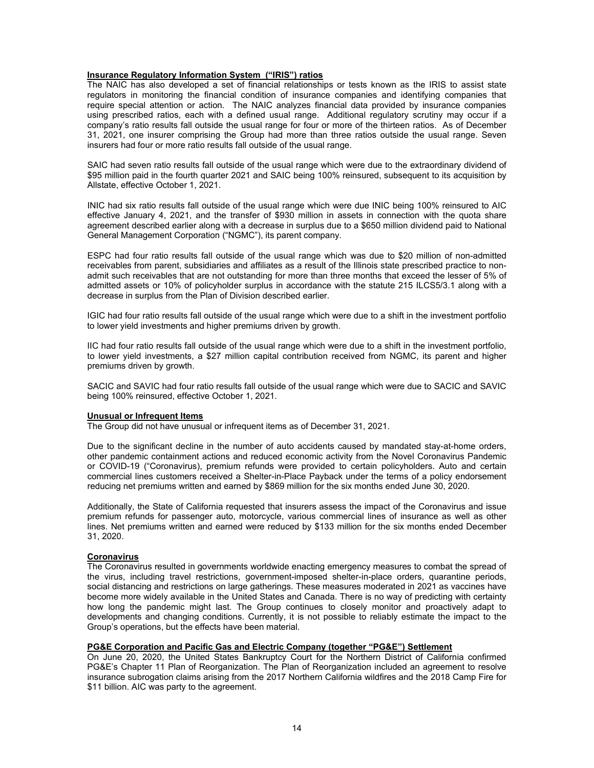# **Insurance Regulatory Information System ("IRIS") ratios**

The NAIC has also developed a set of financial relationships or tests known as the IRIS to assist state regulators in monitoring the financial condition of insurance companies and identifying companies that require special attention or action. The NAIC analyzes financial data provided by insurance companies using prescribed ratios, each with a defined usual range. Additional regulatory scrutiny may occur if a company's ratio results fall outside the usual range for four or more of the thirteen ratios. As of December 31, 2021, one insurer comprising the Group had more than three ratios outside the usual range. Seven insurers had four or more ratio results fall outside of the usual range.

SAIC had seven ratio results fall outside of the usual range which were due to the extraordinary dividend of \$95 million paid in the fourth quarter 2021 and SAIC being 100% reinsured, subsequent to its acquisition by Allstate, effective October 1, 2021.

INIC had six ratio results fall outside of the usual range which were due INIC being 100% reinsured to AIC effective January 4, 2021, and the transfer of \$930 million in assets in connection with the quota share agreement described earlier along with a decrease in surplus due to a \$650 million dividend paid to National General Management Corporation ("NGMC"), its parent company.

ESPC had four ratio results fall outside of the usual range which was due to \$20 million of non-admitted receivables from parent, subsidiaries and affiliates as a result of the Illinois state prescribed practice to nonadmit such receivables that are not outstanding for more than three months that exceed the lesser of 5% of admitted assets or 10% of policyholder surplus in accordance with the statute 215 ILCS5/3.1 along with a decrease in surplus from the Plan of Division described earlier.

IGIC had four ratio results fall outside of the usual range which were due to a shift in the investment portfolio to lower yield investments and higher premiums driven by growth.

IIC had four ratio results fall outside of the usual range which were due to a shift in the investment portfolio, to lower yield investments, a \$27 million capital contribution received from NGMC, its parent and higher premiums driven by growth.

SACIC and SAVIC had four ratio results fall outside of the usual range which were due to SACIC and SAVIC being 100% reinsured, effective October 1, 2021.

### **Unusual or Infrequent Items**

The Group did not have unusual or infrequent items as of December 31, 2021.

Due to the significant decline in the number of auto accidents caused by mandated stay-at-home orders, other pandemic containment actions and reduced economic activity from the Novel Coronavirus Pandemic or COVID-19 ("Coronavirus), premium refunds were provided to certain policyholders. Auto and certain commercial lines customers received a Shelter-in-Place Payback under the terms of a policy endorsement reducing net premiums written and earned by \$869 million for the six months ended June 30, 2020.

Additionally, the State of California requested that insurers assess the impact of the Coronavirus and issue premium refunds for passenger auto, motorcycle, various commercial lines of insurance as well as other lines. Net premiums written and earned were reduced by \$133 million for the six months ended December 31, 2020.

#### **Coronavirus**

The Coronavirus resulted in governments worldwide enacting emergency measures to combat the spread of the virus, including travel restrictions, government-imposed shelter-in-place orders, quarantine periods, social distancing and restrictions on large gatherings. These measures moderated in 2021 as vaccines have become more widely available in the United States and Canada. There is no way of predicting with certainty how long the pandemic might last. The Group continues to closely monitor and proactively adapt to developments and changing conditions. Currently, it is not possible to reliably estimate the impact to the Group's operations, but the effects have been material.

#### **PG&E Corporation and Pacific Gas and Electric Company (together "PG&E") Settlement**

On June 20, 2020, the United States Bankruptcy Court for the Northern District of California confirmed PG&E's Chapter 11 Plan of Reorganization. The Plan of Reorganization included an agreement to resolve insurance subrogation claims arising from the 2017 Northern California wildfires and the 2018 Camp Fire for \$11 billion. AIC was party to the agreement.